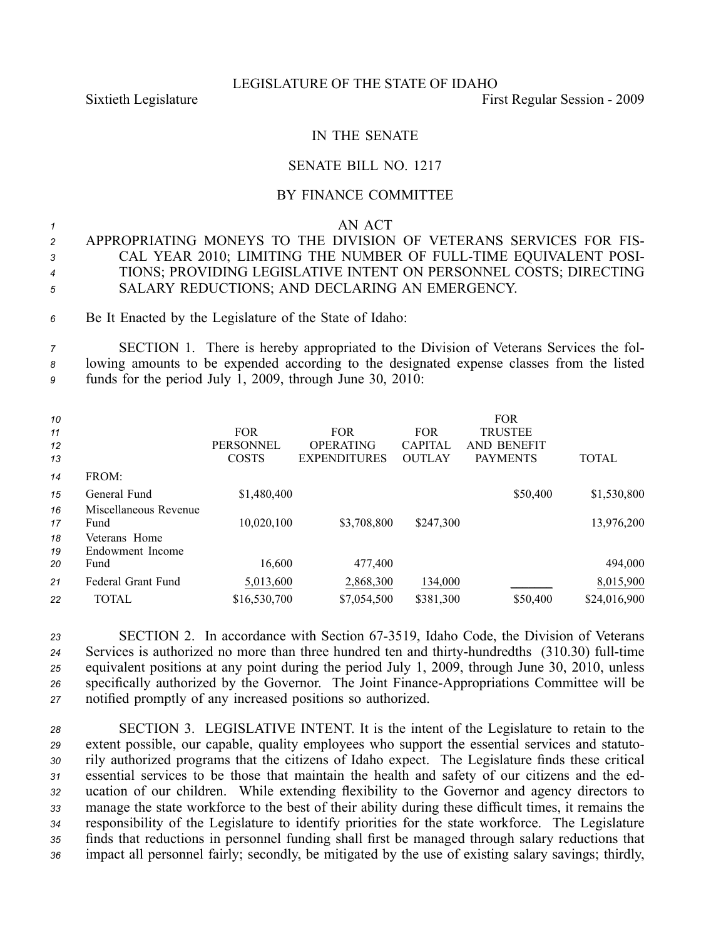#### LEGISLATURE OF THE STATE OF IDAHO

Sixtieth Legislature **First** Regular Session - 2009

# IN THE SENATE

## SENATE BILL NO. 1217

## BY FINANCE COMMITTEE

#### *<sup>1</sup>* AN ACT

- *<sup>2</sup>* APPROPRIATING MONEYS TO THE DIVISION OF VETERANS SERVICES FOR FIS-*<sup>3</sup>* CAL YEAR 2010; LIMITING THE NUMBER OF FULLTIME EQUIVALENT POSI-*<sup>4</sup>* TIONS; PROVIDING LEGISLATIVE INTENT ON PERSONNEL COSTS; DIRECTING *<sup>5</sup>* SALARY REDUCTIONS; AND DECLARING AN EMERGENCY.
- *<sup>6</sup>* Be It Enacted by the Legislature of the State of Idaho:

*<sup>7</sup>* SECTION 1. There is hereby appropriated to the Division of Veterans Services the fol-*<sup>8</sup>* lowing amounts to be expended according to the designated expense classes from the listed *<sup>9</sup>* funds for the period July 1, 2009, through June 30, 2010:

| 10<br>11<br>12<br>13 |                                   | <b>FOR</b><br><b>PERSONNEL</b><br><b>COSTS</b> | <b>FOR</b><br><b>OPERATING</b><br><b>EXPENDITURES</b> | <b>FOR</b><br><b>CAPITAL</b><br><b>OUTLAY</b> | <b>FOR</b><br><b>TRUSTEE</b><br>AND BENEFIT<br><b>PAYMENTS</b> | <b>TOTAL</b> |
|----------------------|-----------------------------------|------------------------------------------------|-------------------------------------------------------|-----------------------------------------------|----------------------------------------------------------------|--------------|
| 14                   | FROM:                             |                                                |                                                       |                                               |                                                                |              |
| 15                   | General Fund                      | \$1,480,400                                    |                                                       |                                               | \$50,400                                                       | \$1,530,800  |
| 16                   | Miscellaneous Revenue             |                                                |                                                       |                                               |                                                                |              |
| 17                   | Fund                              | 10,020,100                                     | \$3,708,800                                           | \$247,300                                     |                                                                | 13,976,200   |
| 18<br>19             | Veterans Home<br>Endowment Income |                                                |                                                       |                                               |                                                                |              |
| 20                   | Fund                              | 16,600                                         | 477,400                                               |                                               |                                                                | 494,000      |
| 21                   | Federal Grant Fund                | 5,013,600                                      | 2,868,300                                             | 134,000                                       |                                                                | 8,015,900    |
| 22                   | TOTAL                             | \$16,530,700                                   | \$7,054,500                                           | \$381,300                                     | \$50,400                                                       | \$24,016,900 |

23 SECTION 2. In accordance with Section 67-3519, Idaho Code, the Division of Veterans 24 Services is authorized no more than three hundred ten and thirty-hundredths (310.30) full-time *<sup>25</sup>* equivalent positions at any point during the period July 1, 2009, through June 30, 2010, unless *<sup>26</sup>* specifically authorized by the Governor. The Joint FinanceAppropriations Committee will be *<sup>27</sup>* notified promptly of any increased positions so authorized.

 SECTION 3. LEGISLATIVE INTENT. It is the intent of the Legislature to retain to the extent possible, our capable, quality employees who suppor<sup>t</sup> the essential services and statuto- rily authorized programs that the citizens of Idaho expect. The Legislature finds these critical essential services to be those that maintain the health and safety of our citizens and the ed- ucation of our children. While extending flexibility to the Governor and agency directors to manage the state workforce to the best of their ability during these difficult times, it remains the responsibility of the Legislature to identify priorities for the state workforce. The Legislature finds that reductions in personnel funding shall first be managed through salary reductions that impact all personnel fairly; secondly, be mitigated by the use of existing salary savings; thirdly,